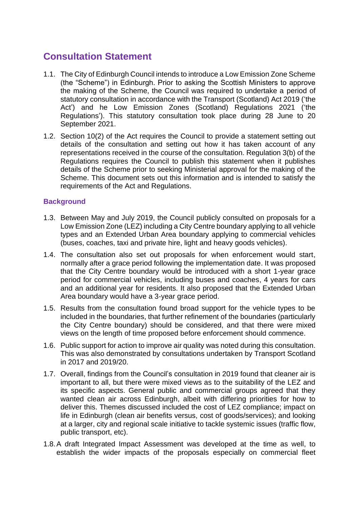# **Consultation Statement**

- 1.1. The City of Edinburgh Council intends to introduce a Low Emission Zone Scheme (the "Scheme") in Edinburgh. Prior to asking the Scottish Ministers to approve the making of the Scheme, the Council was required to undertake a period of statutory consultation in accordance with the Transport (Scotland) Act 2019 ('the Act') and he Low Emission Zones (Scotland) Regulations 2021 ('the Regulations'). This statutory consultation took place during 28 June to 20 September 2021.
- 1.2. Section 10(2) of the Act requires the Council to provide a statement setting out details of the consultation and setting out how it has taken account of any representations received in the course of the consultation. Regulation 3(b) of the Regulations requires the Council to publish this statement when it publishes details of the Scheme prior to seeking Ministerial approval for the making of the Scheme. This document sets out this information and is intended to satisfy the requirements of the Act and Regulations.

## **Background**

- 1.3. Between May and July 2019, the Council publicly consulted on proposals for a Low Emission Zone (LEZ) including a City Centre boundary applying to all vehicle types and an Extended Urban Area boundary applying to commercial vehicles (buses, coaches, taxi and private hire, light and heavy goods vehicles).
- 1.4. The consultation also set out proposals for when enforcement would start, normally after a grace period following the implementation date. It was proposed that the City Centre boundary would be introduced with a short 1-year grace period for commercial vehicles, including buses and coaches, 4 years for cars and an additional year for residents. It also proposed that the Extended Urban Area boundary would have a 3-year grace period.
- 1.5. Results from the consultation found broad support for the vehicle types to be included in the boundaries, that further refinement of the boundaries (particularly the City Centre boundary) should be considered, and that there were mixed views on the length of time proposed before enforcement should commence.
- 1.6. Public support for action to improve air quality was noted during this consultation. This was also demonstrated by consultations undertaken by Transport Scotland in 2017 and 2019/20.
- 1.7. Overall, findings from the Council's consultation in 2019 found that cleaner air is important to all, but there were mixed views as to the suitability of the LEZ and its specific aspects. General public and commercial groups agreed that they wanted clean air across Edinburgh, albeit with differing priorities for how to deliver this. Themes discussed included the cost of LEZ compliance; impact on life in Edinburgh (clean air benefits versus, cost of goods/services); and looking at a larger, city and regional scale initiative to tackle systemic issues (traffic flow, public transport, etc).
- 1.8.A draft Integrated Impact Assessment was developed at the time as well, to establish the wider impacts of the proposals especially on commercial fleet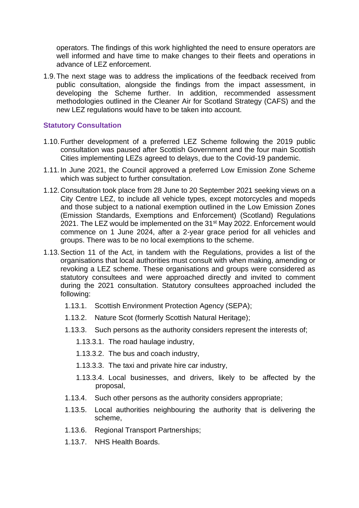operators. The findings of this work highlighted the need to ensure operators are well informed and have time to make changes to their fleets and operations in advance of LEZ enforcement.

1.9.The next stage was to address the implications of the feedback received from public consultation, alongside the findings from the impact assessment, in developing the Scheme further. In addition, recommended assessment methodologies outlined in the Cleaner Air for Scotland Strategy (CAFS) and the new LEZ regulations would have to be taken into account.

### **Statutory Consultation**

- 1.10.Further development of a preferred LEZ Scheme following the 2019 public consultation was paused after Scottish Government and the four main Scottish Cities implementing LEZs agreed to delays, due to the Covid-19 pandemic.
- 1.11.In June 2021, the Council approved a preferred Low Emission Zone Scheme which was subject to further consultation.
- 1.12.Consultation took place from 28 June to 20 September 2021 seeking views on a City Centre LEZ, to include all vehicle types, except motorcycles and mopeds and those subject to a national exemption outlined in the Low Emission Zones (Emission Standards, Exemptions and Enforcement) (Scotland) Regulations 2021. The LEZ would be implemented on the 31<sup>st</sup> May 2022. Enforcement would commence on 1 June 2024, after a 2-year grace period for all vehicles and groups. There was to be no local exemptions to the scheme.
- 1.13.Section 11 of the Act, in tandem with the Regulations, provides a list of the organisations that local authorities must consult with when making, amending or revoking a LEZ scheme. These organisations and groups were considered as statutory consultees and were approached directly and invited to comment during the 2021 consultation. Statutory consultees approached included the following:
	- 1.13.1. Scottish Environment Protection Agency (SEPA);
	- 1.13.2. Nature Scot (formerly Scottish Natural Heritage);
	- 1.13.3. Such persons as the authority considers represent the interests of;
		- 1.13.3.1. The road haulage industry,
		- 1.13.3.2. The bus and coach industry,
		- 1.13.3.3. The taxi and private hire car industry,
		- 1.13.3.4. Local businesses, and drivers, likely to be affected by the proposal,
	- 1.13.4. Such other persons as the authority considers appropriate;
	- 1.13.5. Local authorities neighbouring the authority that is delivering the scheme,
	- 1.13.6. Regional Transport Partnerships;
	- 1.13.7. NHS Health Boards.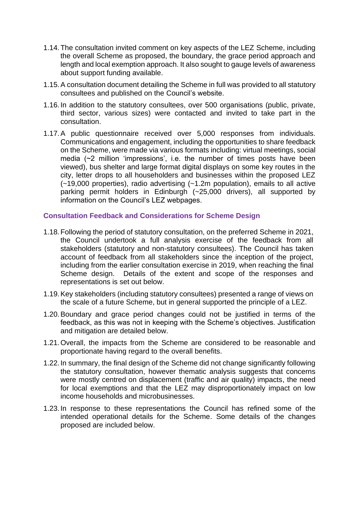- 1.14.The consultation invited comment on key aspects of the LEZ Scheme, including the overall Scheme as proposed, the boundary, the grace period approach and length and local exemption approach. It also sought to gauge levels of awareness about support funding available.
- 1.15.A consultation document detailing the Scheme in full was provided to all statutory consultees and published on the Council's website.
- 1.16.In addition to the statutory consultees, over 500 organisations (public, private, third sector, various sizes) were contacted and invited to take part in the consultation.
- 1.17.A public questionnaire received over 5,000 responses from individuals. Communications and engagement, including the opportunities to share feedback on the Scheme, were made via various formats including: virtual meetings, social media (~2 million 'impressions', i.e. the number of times posts have been viewed), bus shelter and large format digital displays on some key routes in the city, letter drops to all householders and businesses within the proposed LEZ (~19,000 properties), radio advertising (~1.2m population), emails to all active parking permit holders in Edinburgh (~25,000 drivers), all supported by information on the Council's LEZ webpages.

### **Consultation Feedback and Considerations for Scheme Design**

- 1.18.Following the period of statutory consultation, on the preferred Scheme in 2021, the Council undertook a full analysis exercise of the feedback from all stakeholders (statutory and non-statutory consultees). The Council has taken account of feedback from all stakeholders since the inception of the project, including from the earlier consultation exercise in 2019, when reaching the final Scheme design. Details of the extent and scope of the responses and representations is set out below.
- 1.19.Key stakeholders (including statutory consultees) presented a range of views on the scale of a future Scheme, but in general supported the principle of a LEZ.
- 1.20.Boundary and grace period changes could not be justified in terms of the feedback, as this was not in keeping with the Scheme's objectives. Justification and mitigation are detailed below.
- 1.21.Overall, the impacts from the Scheme are considered to be reasonable and proportionate having regard to the overall benefits.
- 1.22.In summary, the final design of the Scheme did not change significantly following the statutory consultation, however thematic analysis suggests that concerns were mostly centred on displacement (traffic and air quality) impacts, the need for local exemptions and that the LEZ may disproportionately impact on low income households and microbusinesses.
- 1.23.In response to these representations the Council has refined some of the intended operational details for the Scheme. Some details of the changes proposed are included below.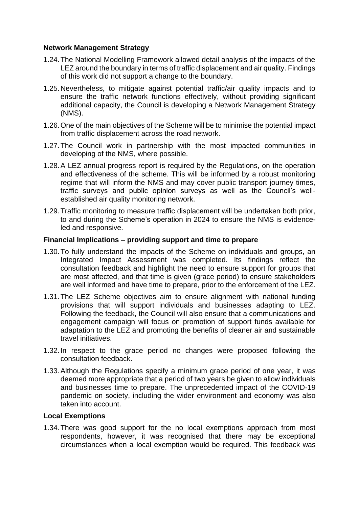### **Network Management Strategy**

- 1.24.The National Modelling Framework allowed detail analysis of the impacts of the LEZ around the boundary in terms of traffic displacement and air quality. Findings of this work did not support a change to the boundary.
- 1.25.Nevertheless, to mitigate against potential traffic/air quality impacts and to ensure the traffic network functions effectively, without providing significant additional capacity, the Council is developing a Network Management Strategy (NMS).
- 1.26.One of the main objectives of the Scheme will be to minimise the potential impact from traffic displacement across the road network.
- 1.27.The Council work in partnership with the most impacted communities in developing of the NMS, where possible.
- 1.28.A LEZ annual progress report is required by the Regulations, on the operation and effectiveness of the scheme. This will be informed by a robust monitoring regime that will inform the NMS and may cover public transport journey times, traffic surveys and public opinion surveys as well as the Council's wellestablished air quality monitoring network.
- 1.29.Traffic monitoring to measure traffic displacement will be undertaken both prior, to and during the Scheme's operation in 2024 to ensure the NMS is evidenceled and responsive.

### **Financial Implications – providing support and time to prepare**

- 1.30.To fully understand the impacts of the Scheme on individuals and groups, an Integrated Impact Assessment was completed. Its findings reflect the consultation feedback and highlight the need to ensure support for groups that are most affected, and that time is given (grace period) to ensure stakeholders are well informed and have time to prepare, prior to the enforcement of the LEZ.
- 1.31.The LEZ Scheme objectives aim to ensure alignment with national funding provisions that will support individuals and businesses adapting to LEZ. Following the feedback, the Council will also ensure that a communications and engagement campaign will focus on promotion of support funds available for adaptation to the LEZ and promoting the benefits of cleaner air and sustainable travel initiatives.
- 1.32.In respect to the grace period no changes were proposed following the consultation feedback.
- 1.33.Although the Regulations specify a minimum grace period of one year, it was deemed more appropriate that a period of two years be given to allow individuals and businesses time to prepare. The unprecedented impact of the COVID-19 pandemic on society, including the wider environment and economy was also taken into account.

### **Local Exemptions**

1.34.There was good support for the no local exemptions approach from most respondents, however, it was recognised that there may be exceptional circumstances when a local exemption would be required. This feedback was